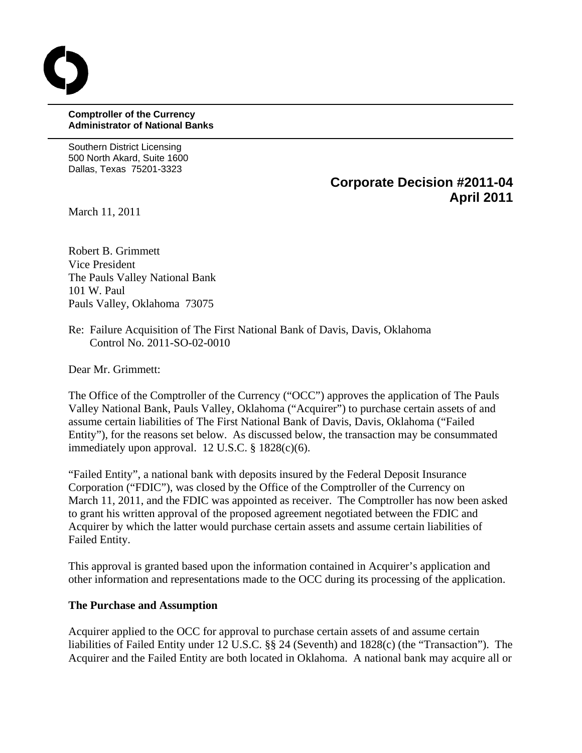### **Comptroller of the Currency Administrator of National Banks**

Southern District Licensing 500 North Akard, Suite 1600 Dallas, Texas 75201-3323

> **Corporate Decision #2011-04 April 2011**

March 11, 2011

Robert B. Grimmett Vice President The Pauls Valley National Bank 101 W. Paul Pauls Valley, Oklahoma 73075

Re: Failure Acquisition of The First National Bank of Davis, Davis, Oklahoma Control No. 2011-SO-02-0010

Dear Mr. Grimmett:

The Office of the Comptroller of the Currency ("OCC") approves the application of The Pauls Valley National Bank, Pauls Valley, Oklahoma ("Acquirer") to purchase certain assets of and assume certain liabilities of The First National Bank of Davis, Davis, Oklahoma ("Failed Entity"), for the reasons set below. As discussed below, the transaction may be consummated immediately upon approval. 12 U.S.C. § 1828(c)(6).

"Failed Entity", a national bank with deposits insured by the Federal Deposit Insurance Corporation ("FDIC"), was closed by the Office of the Comptroller of the Currency on March 11, 2011, and the FDIC was appointed as receiver. The Comptroller has now been asked to grant his written approval of the proposed agreement negotiated between the FDIC and Acquirer by which the latter would purchase certain assets and assume certain liabilities of Failed Entity.

This approval is granted based upon the information contained in Acquirer's application and other information and representations made to the OCC during its processing of the application.

# **The Purchase and Assumption**

Acquirer applied to the OCC for approval to purchase certain assets of and assume certain liabilities of Failed Entity under 12 U.S.C. §§ 24 (Seventh) and 1828(c) (the "Transaction"). The Acquirer and the Failed Entity are both located in Oklahoma. A national bank may acquire all or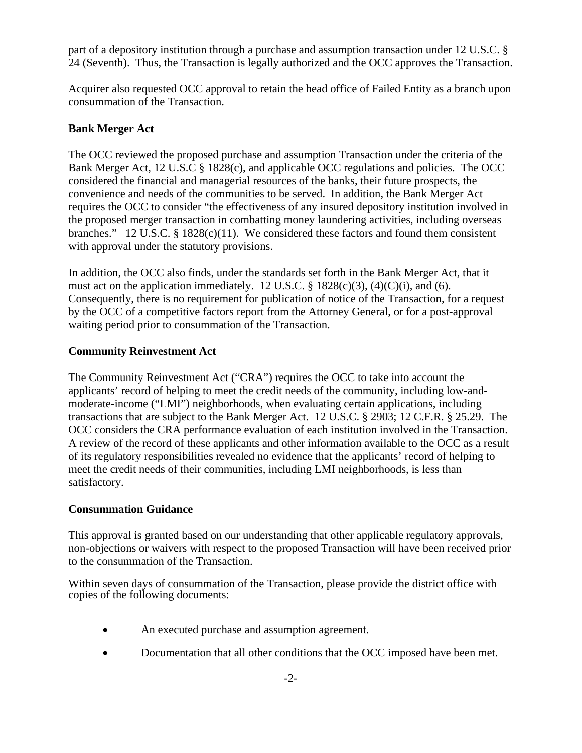part of a depository institution through a purchase and assumption transaction under 12 U.S.C. § 24 (Seventh). Thus, the Transaction is legally authorized and the OCC approves the Transaction.

Acquirer also requested OCC approval to retain the head office of Failed Entity as a branch upon consummation of the Transaction.

# **Bank Merger Act**

The OCC reviewed the proposed purchase and assumption Transaction under the criteria of the Bank Merger Act, 12 U.S.C § 1828(c), and applicable OCC regulations and policies. The OCC considered the financial and managerial resources of the banks, their future prospects, the convenience and needs of the communities to be served. In addition, the Bank Merger Act requires the OCC to consider "the effectiveness of any insured depository institution involved in the proposed merger transaction in combatting money laundering activities, including overseas branches." 12 U.S.C. § 1828(c)(11). We considered these factors and found them consistent with approval under the statutory provisions.

In addition, the OCC also finds, under the standards set forth in the Bank Merger Act, that it must act on the application immediately. 12 U.S.C.  $\S$  1828(c)(3), (4)(C)(i), and (6). Consequently, there is no requirement for publication of notice of the Transaction, for a request by the OCC of a competitive factors report from the Attorney General, or for a post-approval waiting period prior to consummation of the Transaction.

# **Community Reinvestment Act**

The Community Reinvestment Act ("CRA") requires the OCC to take into account the applicants' record of helping to meet the credit needs of the community, including low-andmoderate-income ("LMI") neighborhoods, when evaluating certain applications, including transactions that are subject to the Bank Merger Act. 12 U.S.C. § 2903; 12 C.F.R. § 25.29. The OCC considers the CRA performance evaluation of each institution involved in the Transaction. A review of the record of these applicants and other information available to the OCC as a result of its regulatory responsibilities revealed no evidence that the applicants' record of helping to meet the credit needs of their communities, including LMI neighborhoods, is less than satisfactory.

# **Consummation Guidance**

This approval is granted based on our understanding that other applicable regulatory approvals, non-objections or waivers with respect to the proposed Transaction will have been received prior to the consummation of the Transaction.

Within seven days of consummation of the Transaction, please provide the district office with copies of the following documents:

- An executed purchase and assumption agreement.
- Documentation that all other conditions that the OCC imposed have been met.